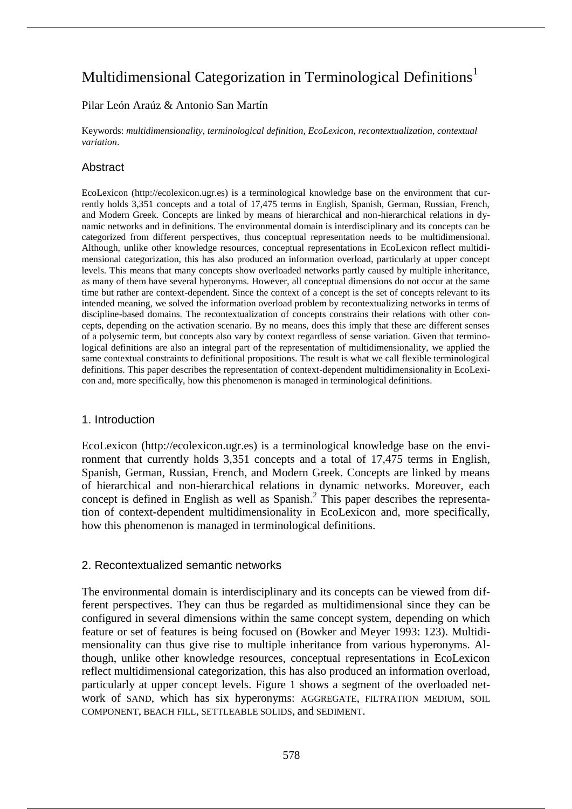# Multidimensional Categorization in Terminological Definitions<sup>1</sup>

## Pilar León Araúz & Antonio San Martín

Keywords: *multidimensionality*, *terminological definition*, *EcoLexicon*, *recontextualization*, *contextual variation*.

# **Abstract**

EcoLexicon (http://ecolexicon.ugr.es) is a terminological knowledge base on the environment that currently holds 3,351 concepts and a total of 17,475 terms in English, Spanish, German, Russian, French, and Modern Greek. Concepts are linked by means of hierarchical and non-hierarchical relations in dynamic networks and in definitions. The environmental domain is interdisciplinary and its concepts can be categorized from different perspectives, thus conceptual representation needs to be multidimensional. Although, unlike other knowledge resources, conceptual representations in EcoLexicon reflect multidimensional categorization, this has also produced an information overload, particularly at upper concept levels. This means that many concepts show overloaded networks partly caused by multiple inheritance, as many of them have several hyperonyms. However, all conceptual dimensions do not occur at the same time but rather are context-dependent. Since the context of a concept is the set of concepts relevant to its intended meaning, we solved the information overload problem by recontextualizing networks in terms of discipline-based domains. The recontextualization of concepts constrains their relations with other concepts, depending on the activation scenario. By no means, does this imply that these are different senses of a polysemic term, but concepts also vary by context regardless of sense variation. Given that terminological definitions are also an integral part of the representation of multidimensionality, we applied the same contextual constraints to definitional propositions. The result is what we call flexible terminological definitions. This paper describes the representation of context-dependent multidimensionality in EcoLexicon and, more specifically, how this phenomenon is managed in terminological definitions.

## 1. Introduction

EcoLexicon (http://ecolexicon.ugr.es) is a terminological knowledge base on the environment that currently holds 3,351 concepts and a total of 17,475 terms in English, Spanish, German, Russian, French, and Modern Greek. Concepts are linked by means of hierarchical and non-hierarchical relations in dynamic networks. Moreover, each concept is defined in English as well as Spanish. 2 This paper describes the representation of context-dependent multidimensionality in EcoLexicon and, more specifically, how this phenomenon is managed in terminological definitions.

## 2. Recontextualized semantic networks

The environmental domain is interdisciplinary and its concepts can be viewed from different perspectives. They can thus be regarded as multidimensional since they can be configured in several dimensions within the same concept system, depending on which feature or set of features is being focused on (Bowker and Meyer 1993: 123). Multidimensionality can thus give rise to multiple inheritance from various hyperonyms. Although, unlike other knowledge resources, conceptual representations in EcoLexicon reflect multidimensional categorization, this has also produced an information overload, particularly at upper concept levels. Figure 1 shows a segment of the overloaded network of SAND, which has six hyperonyms: AGGREGATE, FILTRATION MEDIUM, SOIL COMPONENT, BEACH FILL, SETTLEABLE SOLIDS, and SEDIMENT.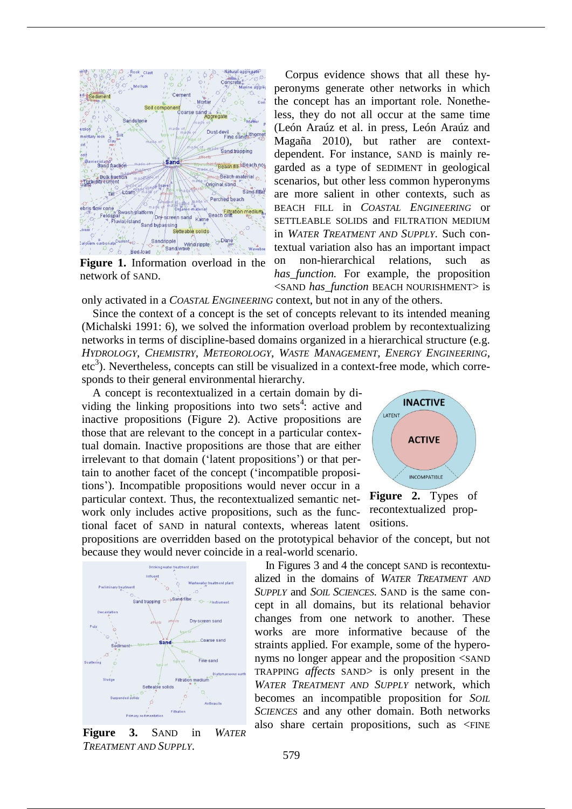

**Figure 1.** Information overload in the network of SAND.

Corpus evidence shows that all these hyperonyms generate other networks in which the concept has an important role. Nonetheless, they do not all occur at the same time (León Araúz et al. in press, León Araúz and Magaña 2010), but rather are contextdependent. For instance, SAND is mainly regarded as a type of SEDIMENT in geological scenarios, but other less common hyperonyms are more salient in other contexts, such as BEACH FILL in *COASTAL ENGINEERING* or SETTLEABLE SOLIDS and FILTRATION MEDIUM in *WATER TREATMENT AND SUPPLY*. Such contextual variation also has an important impact on non-hierarchical relations, such as *has function.* For example, the proposition <SAND *has\_function* BEACH NOURISHMENT> is

only activated in a *COASTAL ENGINEERING* context, but not in any of the others.

Since the context of a concept is the set of concepts relevant to its intended meaning (Michalski 1991: 6), we solved the information overload problem by recontextualizing networks in terms of discipline-based domains organized in a hierarchical structure (e.g. *HYDROLOGY*, *CHEMISTRY*, *METEOROLOGY*, *WASTE MANAGEMENT*, *ENERGY ENGINEERING*,  $\text{etc}^3$ ). Nevertheless, concepts can still be visualized in a context-free mode, which corresponds to their general environmental hierarchy.

A concept is recontextualized in a certain domain by dividing the linking propositions into two sets<sup>4</sup>: active and inactive propositions (Figure 2). Active propositions are those that are relevant to the concept in a particular contextual domain. Inactive propositions are those that are either irrelevant to that domain ('latent propositions') or that pertain to another facet of the concept ('incompatible propositions'). Incompatible propositions would never occur in a particular context. Thus, the recontextualized semantic network only includes active propositions, such as the functional facet of SAND in natural contexts, whereas latent



**Figure 2.** Types of recontextualized propositions.

propositions are overridden based on the prototypical behavior of the concept, but not because they would never coincide in a real-world scenario.



**Figure 3.** SAND in *WATER TREATMENT AND SUPPLY*.

In Figures 3 and 4 the concept SAND is recontextualized in the domains of *WATER TREATMENT AND SUPPLY* and *SOIL SCIENCES*. SAND is the same concept in all domains, but its relational behavior changes from one network to another. These works are more informative because of the straints applied. For example, some of the hyperonyms no longer appear and the proposition <SAND TRAPPING *affects* SAND> is only present in the *WATER TREATMENT AND SUPPLY* network, which becomes an incompatible proposition for *SOIL SCIENCES* and any other domain. Both networks also share certain propositions, such as <FINE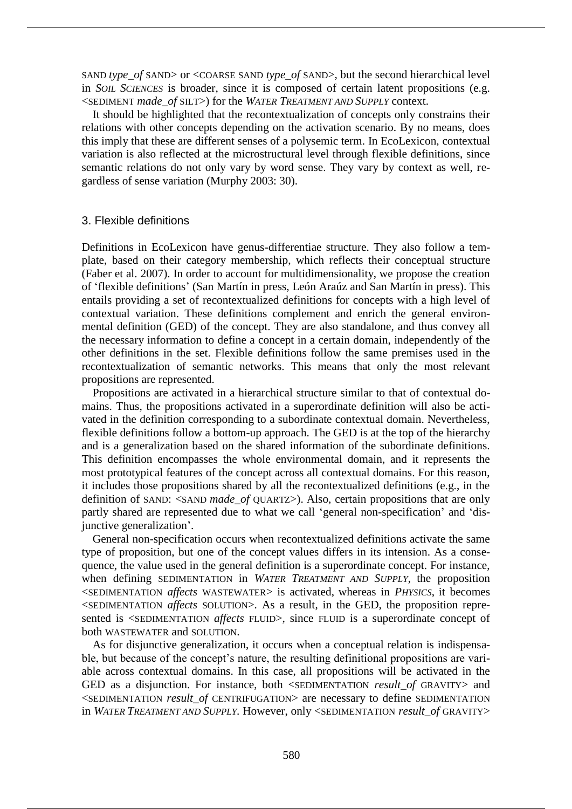SAND *type\_of* SAND> or <COARSE SAND *type\_of* SAND>, but the second hierarchical level in *SOIL SCIENCES* is broader, since it is composed of certain latent propositions (e.g. <SEDIMENT *made\_of* SILT>) for the *WATER TREATMENT AND SUPPLY* context.

It should be highlighted that the recontextualization of concepts only constrains their relations with other concepts depending on the activation scenario. By no means, does this imply that these are different senses of a polysemic term. In EcoLexicon, contextual variation is also reflected at the microstructural level through flexible definitions, since semantic relations do not only vary by word sense. They vary by context as well, regardless of sense variation (Murphy 2003: 30).

#### 3. Flexible definitions

Definitions in EcoLexicon have genus-differentiae structure. They also follow a template, based on their category membership, which reflects their conceptual structure (Faber et al. 2007). In order to account for multidimensionality, we propose the creation of 'flexible definitions' (San Martín in press, León Araúz and San Martín in press). This entails providing a set of recontextualized definitions for concepts with a high level of contextual variation. These definitions complement and enrich the general environmental definition (GED) of the concept. They are also standalone, and thus convey all the necessary information to define a concept in a certain domain, independently of the other definitions in the set. Flexible definitions follow the same premises used in the recontextualization of semantic networks. This means that only the most relevant propositions are represented.

Propositions are activated in a hierarchical structure similar to that of contextual domains. Thus, the propositions activated in a superordinate definition will also be activated in the definition corresponding to a subordinate contextual domain. Nevertheless, flexible definitions follow a bottom-up approach. The GED is at the top of the hierarchy and is a generalization based on the shared information of the subordinate definitions. This definition encompasses the whole environmental domain, and it represents the most prototypical features of the concept across all contextual domains. For this reason, it includes those propositions shared by all the recontextualized definitions (e.g., in the definition of SAND: <SAND *made\_of* QUARTZ>). Also, certain propositions that are only partly shared are represented due to what we call 'general non-specification' and 'disjunctive generalization'.

General non-specification occurs when recontextualized definitions activate the same type of proposition, but one of the concept values differs in its intension. As a consequence, the value used in the general definition is a superordinate concept. For instance, when defining SEDIMENTATION in *WATER TREATMENT AND SUPPLY*, the proposition <SEDIMENTATION *affects* WASTEWATER> is activated, whereas in *PHYSICS*, it becomes <SEDIMENTATION *affects* SOLUTION>. As a result, in the GED, the proposition represented is <SEDIMENTATION *affects* FLUID>, since FLUID is a superordinate concept of both WASTEWATER and SOLUTION.

As for disjunctive generalization, it occurs when a conceptual relation is indispensable, but because of the concept's nature, the resulting definitional propositions are variable across contextual domains. In this case, all propositions will be activated in the GED as a disjunction. For instance, both <SEDIMENTATION *result\_of* GRAVITY> and <SEDIMENTATION *result\_of* CENTRIFUGATION> are necessary to define SEDIMENTATION in *WATER TREATMENT AND SUPPLY*. However, only <SEDIMENTATION *result\_of* GRAVITY>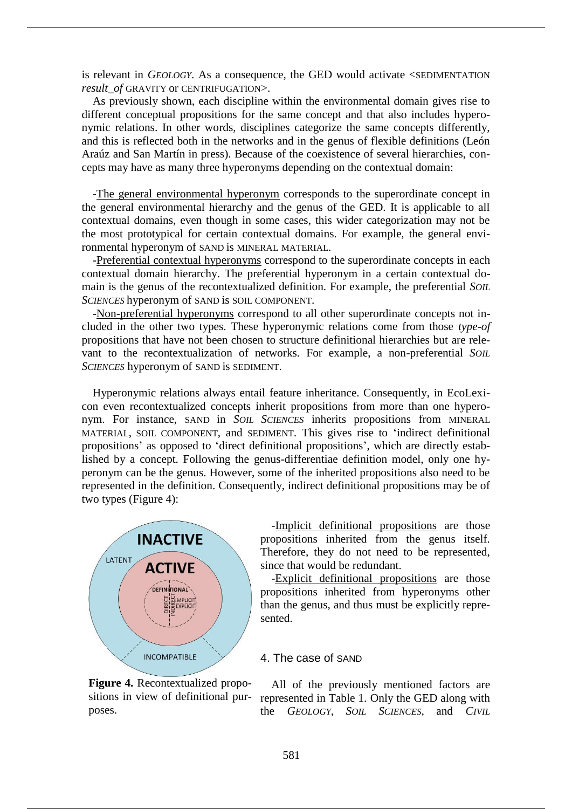is relevant in *GEOLOGY*. As a consequence, the GED would activate <SEDIMENTATION *result\_of* GRAVITY or CENTRIFUGATION>.

As previously shown, each discipline within the environmental domain gives rise to different conceptual propositions for the same concept and that also includes hyperonymic relations. In other words, disciplines categorize the same concepts differently, and this is reflected both in the networks and in the genus of flexible definitions (León Araúz and San Martín in press). Because of the coexistence of several hierarchies, concepts may have as many three hyperonyms depending on the contextual domain:

-The general environmental hyperonym corresponds to the superordinate concept in the general environmental hierarchy and the genus of the GED. It is applicable to all contextual domains, even though in some cases, this wider categorization may not be the most prototypical for certain contextual domains. For example, the general environmental hyperonym of SAND is MINERAL MATERIAL.

-Preferential contextual hyperonyms correspond to the superordinate concepts in each contextual domain hierarchy. The preferential hyperonym in a certain contextual domain is the genus of the recontextualized definition. For example, the preferential *SOIL SCIENCES* hyperonym of SAND is SOIL COMPONENT.

-Non-preferential hyperonyms correspond to all other superordinate concepts not included in the other two types. These hyperonymic relations come from those *type-of* propositions that have not been chosen to structure definitional hierarchies but are relevant to the recontextualization of networks. For example, a non-preferential *SOIL SCIENCES* hyperonym of SAND is SEDIMENT.

Hyperonymic relations always entail feature inheritance. Consequently, in EcoLexicon even recontextualized concepts inherit propositions from more than one hyperonym. For instance, SAND in *SOIL SCIENCES* inherits propositions from MINERAL MATERIAL, SOIL COMPONENT, and SEDIMENT. This gives rise to 'indirect definitional propositions' as opposed to 'direct definitional propositions', which are directly established by a concept. Following the genus-differentiae definition model, only one hyperonym can be the genus. However, some of the inherited propositions also need to be represented in the definition. Consequently, indirect definitional propositions may be of two types (Figure 4):



**Figure 4.** Recontextualized propositions in view of definitional purposes.

-Implicit definitional propositions are those propositions inherited from the genus itself. Therefore, they do not need to be represented, since that would be redundant.

-Explicit definitional propositions are those propositions inherited from hyperonyms other than the genus, and thus must be explicitly represented.

#### 4. The case of SAND

All of the previously mentioned factors are represented in Table 1. Only the GED along with the *GEOLOGY*, *SOIL SCIENCES*, and *CIVIL*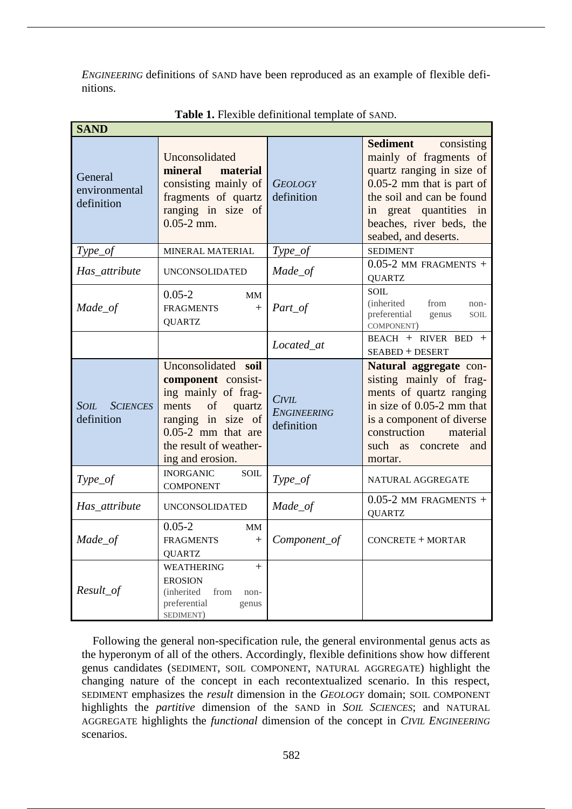*ENGINEERING* definitions of SAND have been reproduced as an example of flexible definitions.

| <b>SAND</b>                                  |                                                                                                                                                                                       |                                           |                                                                                                                                                                                                                         |
|----------------------------------------------|---------------------------------------------------------------------------------------------------------------------------------------------------------------------------------------|-------------------------------------------|-------------------------------------------------------------------------------------------------------------------------------------------------------------------------------------------------------------------------|
| General<br>environmental<br>definition       | Unconsolidated<br>mineral<br>material<br>consisting mainly of<br>fragments of quartz<br>ranging in size of<br>$0.05 - 2$ mm.                                                          | <b>GEOLOGY</b><br>definition              | Sediment<br>consisting<br>mainly of fragments of<br>quartz ranging in size of<br>$0.05-2$ mm that is part of<br>the soil and can be found<br>in great quantities in<br>beaches, river beds, the<br>seabed, and deserts. |
| $Type_of$                                    | MINERAL MATERIAL                                                                                                                                                                      | $Type_of$                                 | <b>SEDIMENT</b>                                                                                                                                                                                                         |
| Has attribute                                | <b>UNCONSOLIDATED</b>                                                                                                                                                                 | Made_of                                   | $0.05$ -2 MM FRAGMENTS +<br><b>QUARTZ</b>                                                                                                                                                                               |
| Made_of                                      | $0.05 - 2$<br><b>MM</b><br><b>FRAGMENTS</b><br>$^{+}$<br><b>QUARTZ</b>                                                                                                                | Part_of                                   | SOIL<br><i>(inherited)</i><br>from<br>non-<br>preferential<br>genus<br><b>SOIL</b><br>COMPONENT)                                                                                                                        |
|                                              |                                                                                                                                                                                       | Located_at                                | BEACH + RIVER BED +<br><b>SEABED + DESERT</b>                                                                                                                                                                           |
| <b>SOIL</b><br><b>SCIENCES</b><br>definition | Unconsolidated soil<br>component consist-<br>ing mainly of frag-<br>of<br>quartz<br>ments<br>ranging in size of<br>$0.05-2$ mm that are<br>the result of weather-<br>ing and erosion. | CIVIL<br><b>ENGINEERING</b><br>definition | Natural aggregate con-<br>sisting mainly of frag-<br>ments of quartz ranging<br>in size of 0.05-2 mm that<br>is a component of diverse<br>construction<br>material<br>such as<br>concrete<br>and<br>mortar.             |
| Type_of                                      | <b>INORGANIC</b><br><b>SOIL</b><br><b>COMPONENT</b>                                                                                                                                   | Type_of                                   | NATURAL AGGREGATE                                                                                                                                                                                                       |
| Has_attribute                                | <b>UNCONSOLIDATED</b>                                                                                                                                                                 | Made_of                                   | $0.05$ -2 MM FRAGMENTS +<br><b>QUARTZ</b>                                                                                                                                                                               |
| Made_of                                      | $0.05 - 2$<br>MM<br><b>FRAGMENTS</b><br>$+$<br><b>QUARTZ</b>                                                                                                                          | Component_of                              | CONCRETE + MORTAR                                                                                                                                                                                                       |
| Result_of                                    | <b>WEATHERING</b><br>$+$<br><b>EROSION</b><br><i>(inherited)</i><br>from<br>non-<br>preferential<br>genus<br>SEDIMENT)                                                                |                                           |                                                                                                                                                                                                                         |

Following the general non-specification rule, the general environmental genus acts as the hyperonym of all of the others. Accordingly, flexible definitions show how different genus candidates (SEDIMENT, SOIL COMPONENT, NATURAL AGGREGATE) highlight the changing nature of the concept in each recontextualized scenario. In this respect, SEDIMENT emphasizes the *result* dimension in the *GEOLOGY* domain; SOIL COMPONENT highlights the *partitive* dimension of the SAND in *SOIL SCIENCES*; and NATURAL AGGREGATE highlights the *functional* dimension of the concept in *CIVIL ENGINEERING* scenarios.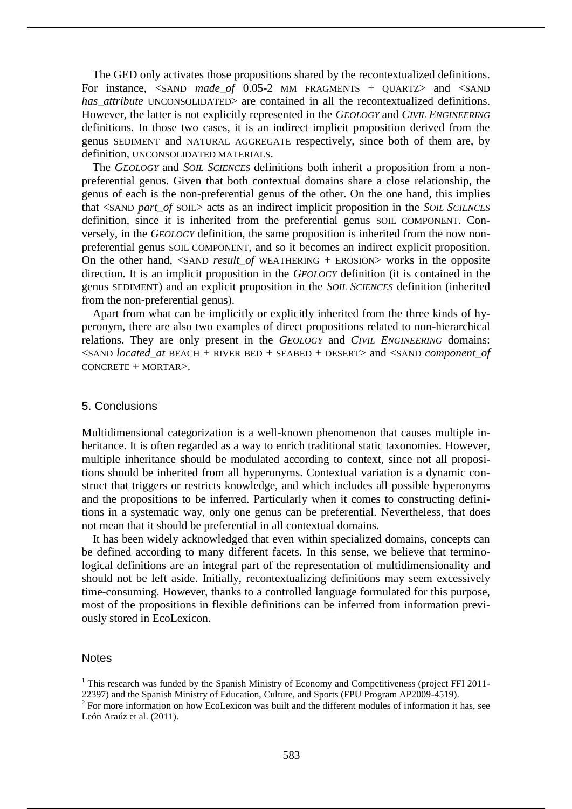The GED only activates those propositions shared by the recontextualized definitions. For instance, <SAND *made of* 0.05-2 MM FRAGMENTS + QUARTZ> and <SAND *has attribute* UNCONSOLIDATED> are contained in all the recontextualized definitions. However, the latter is not explicitly represented in the *GEOLOGY* and *CIVIL ENGINEERING* definitions. In those two cases, it is an indirect implicit proposition derived from the genus SEDIMENT and NATURAL AGGREGATE respectively, since both of them are, by definition, UNCONSOLIDATED MATERIALS.

The *GEOLOGY* and *SOIL SCIENCES* definitions both inherit a proposition from a nonpreferential genus. Given that both contextual domains share a close relationship, the genus of each is the non-preferential genus of the other. On the one hand, this implies that <SAND *part\_of* SOIL> acts as an indirect implicit proposition in the *SOIL SCIENCES* definition, since it is inherited from the preferential genus SOIL COMPONENT. Conversely, in the *GEOLOGY* definition, the same proposition is inherited from the now nonpreferential genus SOIL COMPONENT, and so it becomes an indirect explicit proposition. On the other hand, <SAND *result\_of* WEATHERING + EROSION> works in the opposite direction. It is an implicit proposition in the *GEOLOGY* definition (it is contained in the genus SEDIMENT) and an explicit proposition in the *SOIL SCIENCES* definition (inherited from the non-preferential genus).

Apart from what can be implicitly or explicitly inherited from the three kinds of hyperonym, there are also two examples of direct propositions related to non-hierarchical relations. They are only present in the *GEOLOGY* and *CIVIL ENGINEERING* domains: <SAND *located\_at* BEACH + RIVER BED + SEABED + DESERT> and <SAND *component\_of* CONCRETE + MORTAR>.

## 5. Conclusions

Multidimensional categorization is a well-known phenomenon that causes multiple inheritance. It is often regarded as a way to enrich traditional static taxonomies. However, multiple inheritance should be modulated according to context, since not all propositions should be inherited from all hyperonyms. Contextual variation is a dynamic construct that triggers or restricts knowledge, and which includes all possible hyperonyms and the propositions to be inferred. Particularly when it comes to constructing definitions in a systematic way, only one genus can be preferential. Nevertheless, that does not mean that it should be preferential in all contextual domains.

It has been widely acknowledged that even within specialized domains, concepts can be defined according to many different facets. In this sense, we believe that terminological definitions are an integral part of the representation of multidimensionality and should not be left aside. Initially, recontextualizing definitions may seem excessively time-consuming. However, thanks to a controlled language formulated for this purpose, most of the propositions in flexible definitions can be inferred from information previously stored in EcoLexicon.

#### **Notes**

<sup>&</sup>lt;sup>1</sup> This research was funded by the Spanish Ministry of Economy and Competitiveness (project FFI 2011-22397) and the Spanish Ministry of Education, Culture, and Sports (FPU Program AP2009-4519).<br><sup>2</sup> For more information on how EcoLexicon was built and the different modules of information it has, see

León Araúz et al. (2011).